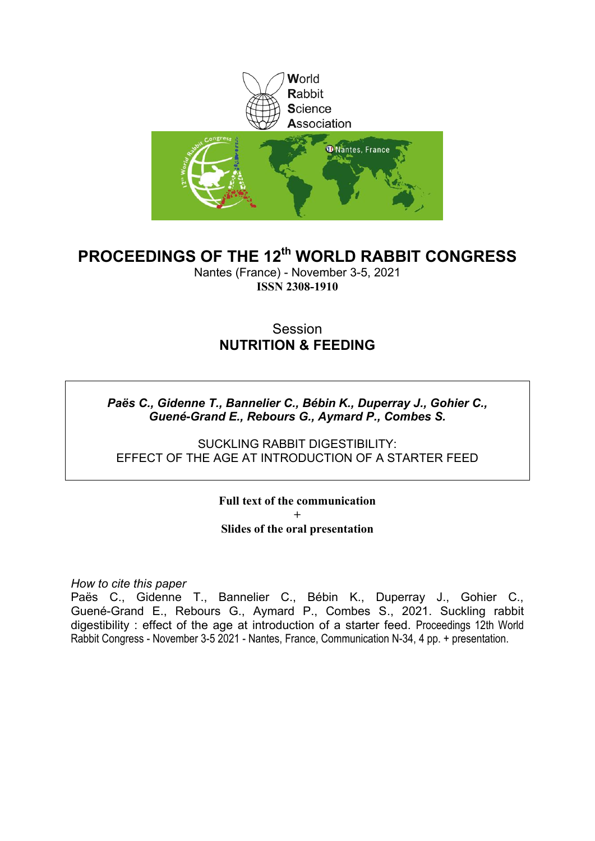

# **PROCEEDINGS OF THE 12th WORLD RABBIT CONGRESS**

Nantes (France) - November 3-5, 2021 **ISSN 2308-1910**

# **Session NUTRITION & FEEDING**

### *Paës C., Gidenne T., Bannelier C., Bébin K., Duperray J., Gohier C., Guené-Grand E., Rebours G., Aymard P., Combes S.*

SUCKLING RABBIT DIGESTIBILITY: EFFECT OF THE AGE AT INTRODUCTION OF A STARTER FEED

### **Full text of the communication + Slides of the oral presentation**

*How to cite this paper*

Paës C., Gidenne T., Bannelier C., Bébin K., Duperray J., Gohier C., Guené-Grand E., Rebours G., Aymard P., Combes S., 2021. Suckling rabbit digestibility : effect of the age at introduction of a starter feed. Proceedings 12th World Rabbit Congress - November 3-5 2021 - Nantes, France, Communication N-34, 4 pp. + presentation.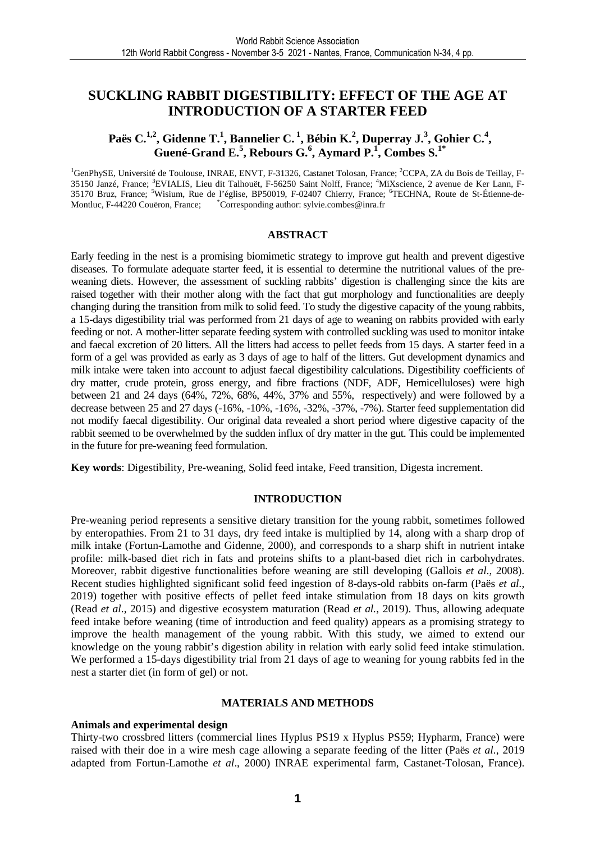### **SUCKLING RABBIT DIGESTIBILITY: EFFECT OF THE AGE AT INTRODUCTION OF A STARTER FEED**

### **Paës C.1,2, Gidenne T.<sup>1</sup> , Bannelier C.<sup>1</sup>, Bébin K.<sup>2</sup> , Duperray J.<sup>3</sup> , Gohier C.<sup>4</sup> , Guené-Grand E.<sup>5</sup> , Rebours G.<sup>6</sup> , Aymard P.<sup>1</sup> , Combes S.1\***

<sup>1</sup>GenPhySE, Université de Toulouse, INRAE, ENVT, F-31326, Castanet Tolosan, France: <sup>2</sup>CCPA, ZA du Bois de Teillay, F-35150 Janzé, France; <sup>3</sup>EVIALIS, Lieu dit Talhouët, F-56250 Saint Nolff, France; <sup>4</sup>MiXscience, 2 avenue de Ker Lann, F-35170 Bruz, France; <sup>5</sup>Wisium, Rue de l'église, BP50019, F-02407 Chierry, France; <sup>6</sup>TECHNA, Route de St-Étienne-de-Montluc, F-44220 Couëron, France; \*Corresponding author: sylvie.combes@inra.fr

#### **ABSTRACT**

Early feeding in the nest is a promising biomimetic strategy to improve gut health and prevent digestive diseases. To formulate adequate starter feed, it is essential to determine the nutritional values of the preweaning diets. However, the assessment of suckling rabbits' digestion is challenging since the kits are raised together with their mother along with the fact that gut morphology and functionalities are deeply changing during the transition from milk to solid feed. To study the digestive capacity of the young rabbits, a 15-days digestibility trial was performed from 21 days of age to weaning on rabbits provided with early feeding or not. A mother-litter separate feeding system with controlled suckling was used to monitor intake and faecal excretion of 20 litters. All the litters had access to pellet feeds from 15 days. A starter feed in a form of a gel was provided as early as 3 days of age to half of the litters. Gut development dynamics and milk intake were taken into account to adjust faecal digestibility calculations. Digestibility coefficients of dry matter, crude protein, gross energy, and fibre fractions (NDF, ADF, Hemicelluloses) were high between 21 and 24 days (64%, 72%, 68%, 44%, 37% and 55%, respectively) and were followed by a decrease between 25 and 27 days (-16%, -10%, -16%, -32%, -37%, -7%). Starter feed supplementation did not modify faecal digestibility. Our original data revealed a short period where digestive capacity of the rabbit seemed to be overwhelmed by the sudden influx of dry matter in the gut. This could be implemented in the future for pre-weaning feed formulation.

**Key words**: Digestibility, Pre-weaning, Solid feed intake, Feed transition, Digesta increment.

#### **INTRODUCTION**

Pre-weaning period represents a sensitive dietary transition for the young rabbit, sometimes followed by enteropathies. From 21 to 31 days, dry feed intake is multiplied by 14, along with a sharp drop of milk intake (Fortun-Lamothe and Gidenne, 2000), and corresponds to a sharp shift in nutrient intake profile: milk-based diet rich in fats and proteins shifts to a plant-based diet rich in carbohydrates. Moreover, rabbit digestive functionalities before weaning are still developing (Gallois *et al*., 2008). Recent studies highlighted significant solid feed ingestion of 8-days-old rabbits on-farm (Paës *et al.*, 2019) together with positive effects of pellet feed intake stimulation from 18 days on kits growth (Read *et al*., 2015) and digestive ecosystem maturation (Read *et al.*, 2019). Thus, allowing adequate feed intake before weaning (time of introduction and feed quality) appears as a promising strategy to improve the health management of the young rabbit. With this study, we aimed to extend our knowledge on the young rabbit's digestion ability in relation with early solid feed intake stimulation. We performed a 15-days digestibility trial from 21 days of age to weaning for young rabbits fed in the nest a starter diet (in form of gel) or not.

#### **MATERIALS AND METHODS**

#### **Animals and experimental design**

Thirty-two crossbred litters (commercial lines Hyplus PS19 x Hyplus PS59; Hypharm, France) were raised with their doe in a wire mesh cage allowing a separate feeding of the litter (Paës *et al.*, 2019 adapted from Fortun-Lamothe *et al*., 2000) INRAE experimental farm, Castanet-Tolosan, France).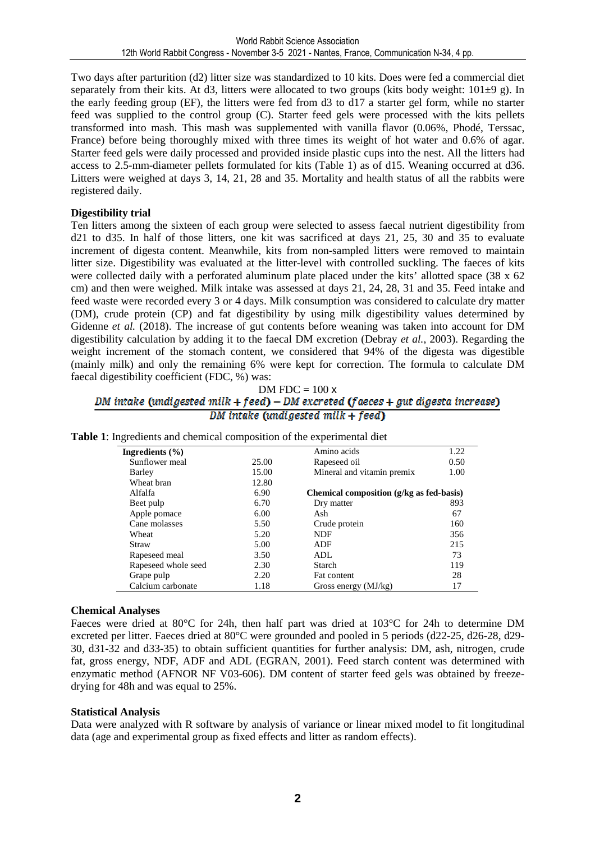Two days after parturition (d2) litter size was standardized to 10 kits. Does were fed a commercial diet separately from their kits. At d3, litters were allocated to two groups (kits body weight:  $101\pm9$  g). In the early feeding group (EF), the litters were fed from d3 to d17 a starter gel form, while no starter feed was supplied to the control group (C). Starter feed gels were processed with the kits pellets transformed into mash. This mash was supplemented with vanilla flavor (0.06%, Phodé, Terssac, France) before being thoroughly mixed with three times its weight of hot water and 0.6% of agar. Starter feed gels were daily processed and provided inside plastic cups into the nest. All the litters had access to 2.5-mm-diameter pellets formulated for kits (Table 1) as of d15. Weaning occurred at d36. Litters were weighed at days 3, 14, 21, 28 and 35. Mortality and health status of all the rabbits were registered daily.

#### **Digestibility trial**

Ten litters among the sixteen of each group were selected to assess faecal nutrient digestibility from d21 to d35. In half of those litters, one kit was sacrificed at days 21, 25, 30 and 35 to evaluate increment of digesta content. Meanwhile, kits from non-sampled litters were removed to maintain litter size. Digestibility was evaluated at the litter-level with controlled suckling. The faeces of kits were collected daily with a perforated aluminum plate placed under the kits' allotted space (38 x 62 cm) and then were weighed. Milk intake was assessed at days 21, 24, 28, 31 and 35. Feed intake and feed waste were recorded every 3 or 4 days. Milk consumption was considered to calculate dry matter (DM), crude protein (CP) and fat digestibility by using milk digestibility values determined by Gidenne *et al.* (2018). The increase of gut contents before weaning was taken into account for DM digestibility calculation by adding it to the faecal DM excretion (Debray *et al.*, 2003). Regarding the weight increment of the stomach content, we considered that 94% of the digesta was digestible (mainly milk) and only the remaining 6% were kept for correction. The formula to calculate DM faecal digestibility coefficient (FDC, %) was:

# DM FDC =  $100 \times$ <br>DM intake (undigested milk + feed) – DM excreted (faeces + gut digesta increase) DM intake (undigested milk  $+$  feed)

| Ingredients $(\% )$ |       | Amino acids                              | 1.22 |  |
|---------------------|-------|------------------------------------------|------|--|
| Sunflower meal      | 25.00 | Rapeseed oil                             | 0.50 |  |
| Barley              | 15.00 | Mineral and vitamin premix               | 1.00 |  |
| Wheat bran          | 12.80 |                                          |      |  |
| Alfalfa             | 6.90  | Chemical composition (g/kg as fed-basis) |      |  |
| Beet pulp           | 6.70  | Dry matter                               | 893  |  |
| Apple pomace        | 6.00  | Ash                                      | 67   |  |
| Cane molasses       | 5.50  | Crude protein                            | 160  |  |
| Wheat               | 5.20  | <b>NDF</b>                               | 356  |  |
| Straw               | 5.00  | ADF                                      | 215  |  |
| Rapeseed meal       | 3.50  | ADL                                      | 73   |  |
| Rapeseed whole seed | 2.30  | Starch                                   | 119  |  |
| Grape pulp          | 2.20  | Fat content                              | 28   |  |
| Calcium carbonate   | 1.18  | Gross energy (MJ/kg)                     | 17   |  |

#### **Table 1**: Ingredients and chemical composition of the experimental diet

#### **Chemical Analyses**

Faeces were dried at 80°C for 24h, then half part was dried at 103°C for 24h to determine DM excreted per litter. Faeces dried at 80°C were grounded and pooled in 5 periods (d22-25, d26-28, d29- 30, d31-32 and d33-35) to obtain sufficient quantities for further analysis: DM, ash, nitrogen, crude fat, gross energy, NDF, ADF and ADL (EGRAN, 2001). Feed starch content was determined with enzymatic method (AFNOR NF V03-606). DM content of starter feed gels was obtained by freezedrying for 48h and was equal to 25%.

#### **Statistical Analysis**

Data were analyzed with R software by analysis of variance or linear mixed model to fit longitudinal data (age and experimental group as fixed effects and litter as random effects).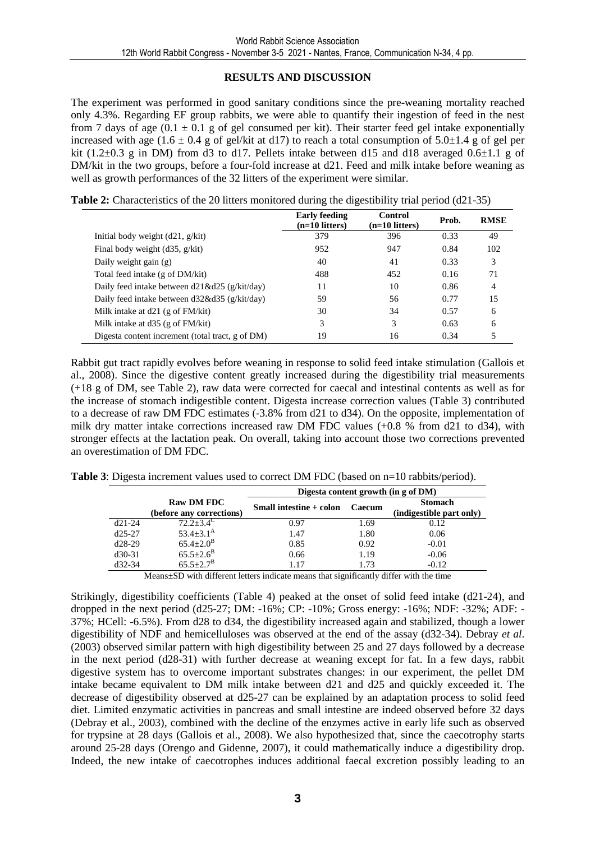#### **RESULTS AND DISCUSSION**

The experiment was performed in good sanitary conditions since the pre-weaning mortality reached only 4.3%. Regarding EF group rabbits, we were able to quantify their ingestion of feed in the nest from 7 days of age  $(0.1 \pm 0.1$  g of gel consumed per kit). Their starter feed gel intake exponentially increased with age (1.6  $\pm$  0.4 g of gel/kit at d17) to reach a total consumption of 5.0 $\pm$ 1.4 g of gel per kit (1.2 $\pm$ 0.3 g in DM) from d3 to d17. Pellets intake between d15 and d18 averaged 0.6 $\pm$ 1.1 g of DM/kit in the two groups, before a four-fold increase at d21. Feed and milk intake before weaning as well as growth performances of the 32 litters of the experiment were similar.

|                                                  | <b>Early feeding</b><br>$(n=10$ litters) | Control<br>$(n=10$ litters) | Prob. | <b>RMSE</b> |
|--------------------------------------------------|------------------------------------------|-----------------------------|-------|-------------|
| Initial body weight $(d21, g/kit)$               | 379                                      | 396                         | 0.33  | 49          |
| Final body weight $(d35, g/kit)$                 | 952                                      | 947                         | 0.84  | 102         |
| Daily weight gain (g)                            | 40                                       | 41                          | 0.33  | 3           |
| Total feed intake (g of DM/kit)                  | 488                                      | 452                         | 0.16  | 71          |
| Daily feed intake between $d21\&d25$ (g/kit/day) | 11                                       | 10                          | 0.86  | 4           |
| Daily feed intake between d32&d35 (g/kit/day)    | 59                                       | 56                          | 0.77  | 15          |
| Milk intake at $d21$ (g of FM/kit)               | 30                                       | 34                          | 0.57  | 6           |
| Milk intake at d35 (g of FM/kit)                 | 3                                        | 3                           | 0.63  | 6           |
| Digesta content increment (total tract, g of DM) | 19                                       | 16                          | 0.34  | 5           |

**Table 2:** Characteristics of the 20 litters monitored during the digestibility trial period (d21-35)

Rabbit gut tract rapidly evolves before weaning in response to solid feed intake stimulation (Gallois et al., 2008). Since the digestive content greatly increased during the digestibility trial measurements (+18 g of DM, see Table 2), raw data were corrected for caecal and intestinal contents as well as for the increase of stomach indigestible content. Digesta increase correction values (Table 3) contributed to a decrease of raw DM FDC estimates (-3.8% from d21 to d34). On the opposite, implementation of milk dry matter intake corrections increased raw DM FDC values  $(+0.8\%$  from d21 to d34), with stronger effects at the lactation peak. On overall, taking into account those two corrections prevented an overestimation of DM FDC.

**Table 3**: Digesta increment values used to correct DM FDC (based on n=10 rabbits/period).

|                                                                                                                                                                                                                                |                                               | Digesta content growth (in g of DM) |        |                                            |  |  |
|--------------------------------------------------------------------------------------------------------------------------------------------------------------------------------------------------------------------------------|-----------------------------------------------|-------------------------------------|--------|--------------------------------------------|--|--|
|                                                                                                                                                                                                                                | <b>Raw DM FDC</b><br>(before any corrections) | Small intestine + colon             | Caecum | <b>Stomach</b><br>(indigestible part only) |  |  |
| $d21-24$                                                                                                                                                                                                                       | $72.2 \pm 3.4$ <sup>C</sup>                   | 0.97                                | 1.69   | 0.12                                       |  |  |
| $d25-27$                                                                                                                                                                                                                       | $53.4 \pm 3.1^{\rm A}$                        | 1.47                                | 1.80   | 0.06                                       |  |  |
| $d28-29$                                                                                                                                                                                                                       | $65.4 \pm 2.0^{\rm B}$                        | 0.85                                | 0.92   | $-0.01$                                    |  |  |
| $d30-31$                                                                                                                                                                                                                       | $65.5 \pm 2.6^B$                              | 0.66                                | 1.19   | $-0.06$                                    |  |  |
| $d32-34$                                                                                                                                                                                                                       | $65.5 + 2.7^{\rm B}$                          | 1.17                                | 1.73   | $-0.12$                                    |  |  |
| March 1990 in the College of the March 1990 in the March 1990 in the March 1990 in the March 1990 in the March 1990 in the March 1990 in the March 1990 in the March 1990 in the March 1990 in the March 1990 in the March 199 |                                               |                                     |        |                                            |  |  |

Means±SD with different letters indicate means that significantly differ with the time

Strikingly, digestibility coefficients (Table 4) peaked at the onset of solid feed intake (d21-24), and dropped in the next period (d25-27; DM: -16%; CP: -10%; Gross energy: -16%; NDF: -32%; ADF: - 37%; HCell: -6.5%). From d28 to d34, the digestibility increased again and stabilized, though a lower digestibility of NDF and hemicelluloses was observed at the end of the assay (d32-34). Debray *et al*. (2003) observed similar pattern with high digestibility between 25 and 27 days followed by a decrease in the next period (d28-31) with further decrease at weaning except for fat. In a few days, rabbit digestive system has to overcome important substrates changes: in our experiment, the pellet DM intake became equivalent to DM milk intake between d21 and d25 and quickly exceeded it. The decrease of digestibility observed at d25-27 can be explained by an adaptation process to solid feed diet. Limited enzymatic activities in pancreas and small intestine are indeed observed before 32 days (Debray et al., 2003), combined with the decline of the enzymes active in early life such as observed for trypsine at 28 days (Gallois et al., 2008). We also hypothesized that, since the caecotrophy starts around 25-28 days (Orengo and Gidenne, 2007), it could mathematically induce a digestibility drop. Indeed, the new intake of caecotrophes induces additional faecal excretion possibly leading to an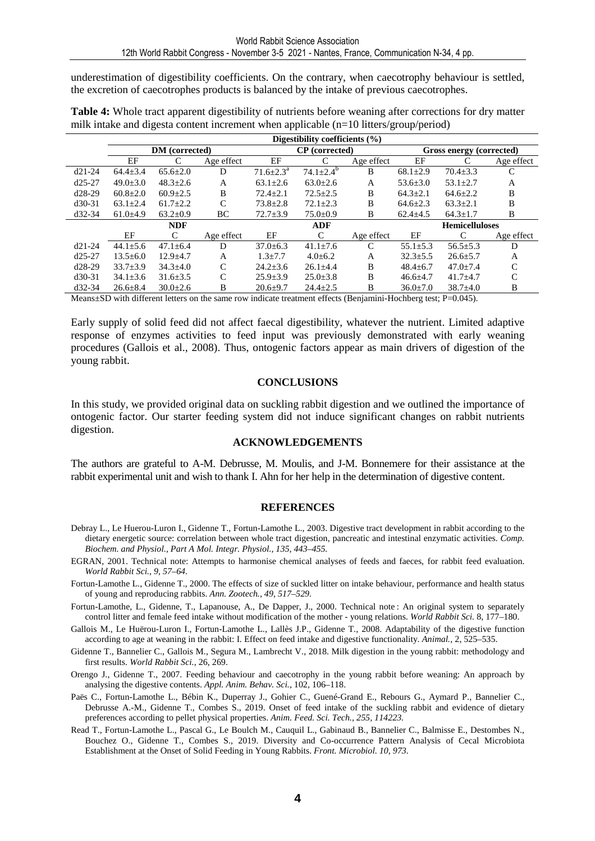underestimation of digestibility coefficients. On the contrary, when caecotrophy behaviour is settled, the excretion of caecotrophes products is balanced by the intake of previous caecotrophes.

|          | Digestibility coefficients $(\% )$ |                |            |                  |                       |            |                |                          |               |  |
|----------|------------------------------------|----------------|------------|------------------|-----------------------|------------|----------------|--------------------------|---------------|--|
|          | DM (corrected)                     |                |            |                  | <b>CP</b> (corrected) |            |                | Gross energy (corrected) |               |  |
|          | EF                                 | C              | Age effect | EF               |                       | Age effect | EF             |                          | Age effect    |  |
| $d21-24$ | $64.4 \pm 3.4$                     | $65.6 \pm 2.0$ | D          | $71.6{\pm}2.3^a$ | $74.1 \pm 2.4^b$      | B          | $68.1 \pm 2.9$ | $70.4 \pm 3.3$           | C             |  |
| $d25-27$ | $49.0 + 3.0$                       | $48.3 \pm 2.6$ | A          | $63.1 + 2.6$     | $63.0 \pm 2.6$        | A          | $53.6 \pm 3.0$ | $53.1 \pm 2.7$           | A             |  |
| $d28-29$ | $60.8 \pm 2.0$                     | $60.9 + 2.5$   | B          | $72.4 + 2.1$     | $72.5 \pm 2.5$        | B          | $64.3 \pm 2.1$ | $64.6 \pm 2.2$           | B             |  |
| $d30-31$ | $63.1 \pm 2.4$                     | $61.7 \pm 2.2$ | C          | $73.8 \pm 2.8$   | $72.1 \pm 2.3$        | B          | $64.6 \pm 2.3$ | $63.3 \pm 2.1$           | B             |  |
| $d32-34$ | $61.0+4.9$                         | $63.2 \pm 0.9$ | BС         | $72.7 \pm 3.9$   | $75.0 \pm 0.9$        | B          | $62.4 \pm 4.5$ | $64.3 \pm 1.7$           | B             |  |
|          |                                    | <b>NDF</b>     |            |                  | <b>ADF</b>            |            |                | <b>Hemicelluloses</b>    |               |  |
|          | EF                                 | C              | Age effect | EF               | C                     | Age effect | EF             | C                        | Age effect    |  |
| $d21-24$ | $44.1 \pm 5.6$                     | $47.1 \pm 6.4$ | D          | $37.0 \pm 6.3$   | $41.1 \pm 7.6$        | C          | $55.1 \pm 5.3$ | $56.5 \pm 5.3$           | D             |  |
| $d25-27$ | $13.5 \pm 6.0$                     | $12.9 \pm 4.7$ | A          | $1.3 \pm 7.7$    | $4.0 \pm 6.2$         | A          | $32.3 \pm 5.5$ | $26.6 \pm 5.7$           | А             |  |
| $d28-29$ | $33.7 + 3.9$                       | $34.3 \pm 4.0$ | C          | $24.2 \pm 3.6$   | $26.1 \pm 4.4$        | B          | $48.4 \pm 6.7$ | $47.0 \pm 7.4$           | C             |  |
| $d30-31$ | $34.1 \pm 3.6$                     | $31.6 \pm 3.5$ | C          | $25.9 \pm 3.9$   | $25.0 \pm 3.8$        | B          | $46.6 \pm 4.7$ | $41.7 + 4.7$             | $\mathcal{C}$ |  |
| $d32-34$ | $26.6 \pm 8.4$                     | $30.0 \pm 2.6$ | B          | $20.6 \pm 9.7$   | $24.4 \pm 2.5$        | B          | $36.0 \pm 7.0$ | $38.7 + 4.0$             | B             |  |

**Table 4:** Whole tract apparent digestibility of nutrients before weaning after corrections for dry matter milk intake and digesta content increment when applicable (n=10 litters/group/period)

Means $\pm$ SD with different letters on the same row indicate treatment effects (Benjamini-Hochberg test; P=0.045).

Early supply of solid feed did not affect faecal digestibility, whatever the nutrient. Limited adaptive response of enzymes activities to feed input was previously demonstrated with early weaning procedures (Gallois et al., 2008). Thus, ontogenic factors appear as main drivers of digestion of the young rabbit.

#### **CONCLUSIONS**

In this study, we provided original data on suckling rabbit digestion and we outlined the importance of ontogenic factor. Our starter feeding system did not induce significant changes on rabbit nutrients digestion.

#### **ACKNOWLEDGEMENTS**

The authors are grateful to A-M. Debrusse, M. Moulis, and J-M. Bonnemere for their assistance at the rabbit experimental unit and wish to thank I. Ahn for her help in the determination of digestive content.

#### **REFERENCES**

- Debray L., Le Huerou-Luron I., Gidenne T., Fortun-Lamothe L., 2003. Digestive tract development in rabbit according to the dietary energetic source: correlation between whole tract digestion, pancreatic and intestinal enzymatic activities. *Comp. Biochem. and Physiol., Part A Mol. Integr. Physiol., 135, 443–455.*
- EGRAN, 2001. Technical note: Attempts to harmonise chemical analyses of feeds and faeces, for rabbit feed evaluation. *World Rabbit Sci., 9, 57–64.*
- Fortun-Lamothe L., Gidenne T., 2000. The effects of size of suckled litter on intake behaviour, performance and health status of young and reproducing rabbits. *Ann. Zootech., 49, 517–529.*
- Fortun-Lamothe, L., Gidenne, T., Lapanouse, A., De Dapper, J., 2000. Technical note : An original system to separately control litter and female feed intake without modification of the mother - young relations. *World Rabbit Sci.* 8, 177–180.

Gallois M., Le Huërou-Luron I., Fortun-Lamothe L., Lallès J.P., Gidenne T., 2008. Adaptability of the digestive function according to age at weaning in the rabbit: I. Effect on feed intake and digestive functionality. *Animal.,* 2, 525–535.

- Gidenne T., Bannelier C., Gallois M., Segura M., Lambrecht V., 2018. Milk digestion in the young rabbit: methodology and first results. *World Rabbit Sci.*, 26, 269.
- Orengo J., Gidenne T., 2007. Feeding behaviour and caecotrophy in the young rabbit before weaning: An approach by analysing the digestive contents. *Appl. Anim. Behav. Sci.*, 102, 106–118.
- Paës C., Fortun-Lamothe L., Bébin K., Duperray J., Gohier C., Guené-Grand E., Rebours G., Aymard P., Bannelier C., Debrusse A.-M., Gidenne T., Combes S., 2019. Onset of feed intake of the suckling rabbit and evidence of dietary preferences according to pellet physical properties. *Anim. Feed. Sci. Tech., 255, 114223.*
- Read T., Fortun-Lamothe L., Pascal G., Le Boulch M., Cauquil L., Gabinaud B., Bannelier C., Balmisse E., Destombes N., Bouchez O., Gidenne T., Combes S., 2019. Diversity and Co-occurrence Pattern Analysis of Cecal Microbiota Establishment at the Onset of Solid Feeding in Young Rabbits. *Front. Microbiol. 10, 973.*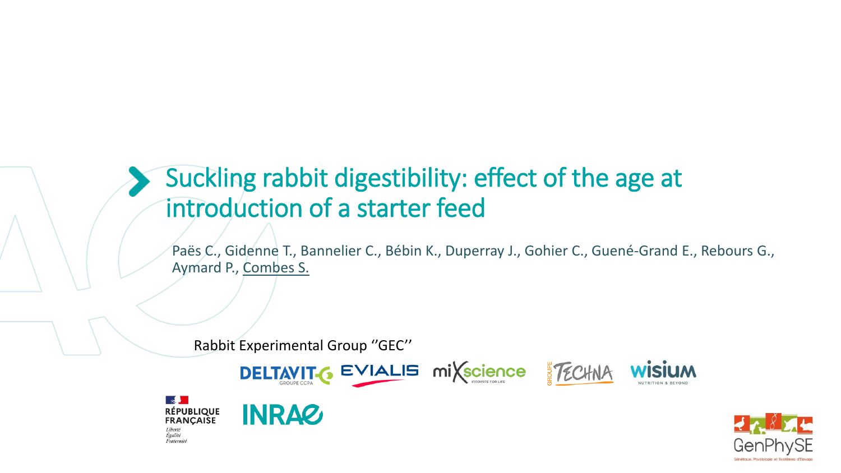# Suckling rabbit digestibility: effect of the age at introduction of a starter feed

Paës C., Gidenne T., Bannelier C., Bébin K., Duperray J., Gohier C., Guené-Grand E., Rebours G., Aymard P., Combes S.

Rabbit Experimental Group ''GEC''

**INRAZ** 

 $\sim$ 

Liberté Égalité

**RÉPUBLIQUE<br>FRANÇAISE** 







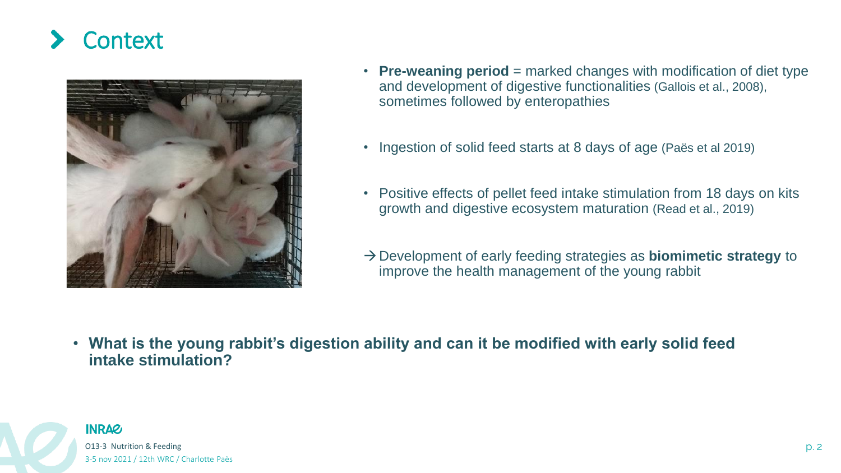# **Context**



- **Pre-weaning period** = marked changes with modification of diet type and development of digestive functionalities (Gallois et al., 2008), sometimes followed by enteropathies
- Ingestion of solid feed starts at 8 days of age (Paës et al 2019)
- Positive effects of pellet feed intake stimulation from 18 days on kits growth and digestive ecosystem maturation (Read et al., 2019)
- →Development of early feeding strategies as **biomimetic strategy** to improve the health management of the young rabbit

• **What is the young rabbit's digestion ability and can it be modified with early solid feed intake stimulation?**

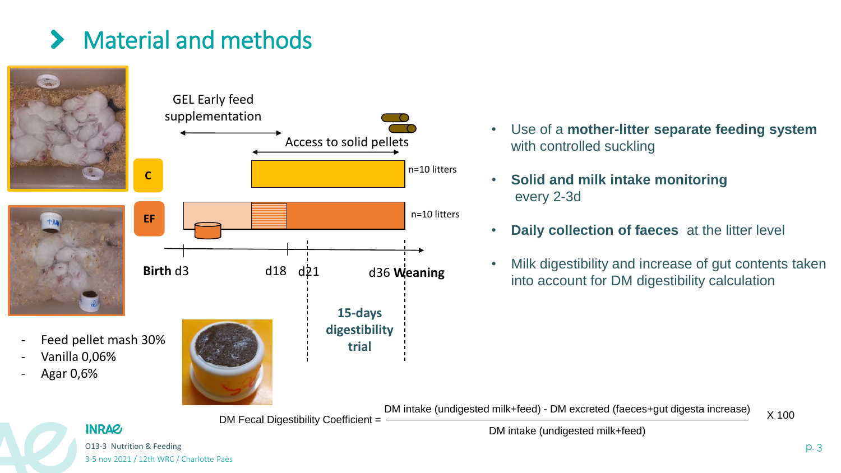# Material and methods



- Use of a **mother-litter separate feeding system**  with controlled suckling
- **Solid and milk intake monitoring** every 2-3d
- **Daily collection of faeces** at the litter level
- Milk digestibility and increase of gut contents taken into account for DM digestibility calculation

DM intake (undigested milk+feed) - DM excreted (faeces+gut digesta increase) DM Fecal Digestibility Coefficient =  $\frac{D}{2}$ 

DM intake (undigested milk+feed)

O13-3 Nutrition & Feeding p. 3 3-5 nov 2021 / 12th WRC / Charlotte Paës

**INRAG**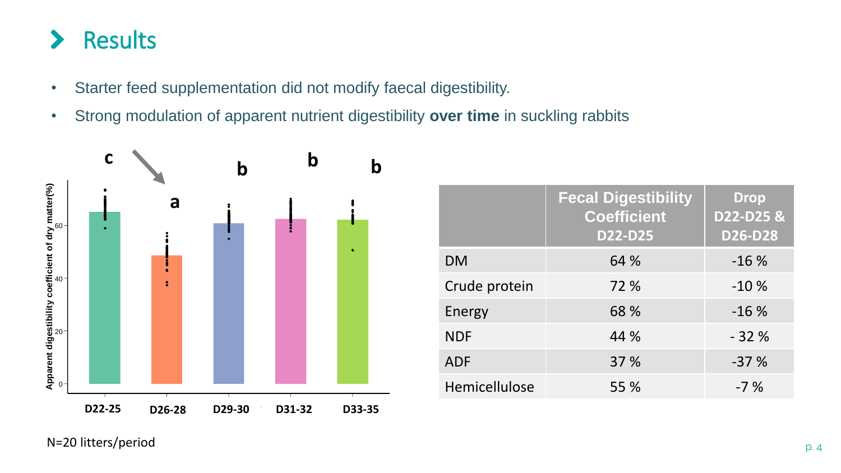## Results  $\blacktriangleright$

- Starter feed supplementation did not modify faecal digestibility.
- Strong modulation of apparent nutrient digestibility **over time** in suckling rabbits



|               | <b>Fecal Digestibility</b><br><b>Coefficient</b><br><b>D22-D25</b> | <b>Drop</b><br>D22-D25 &<br><b>D26-D28</b> |
|---------------|--------------------------------------------------------------------|--------------------------------------------|
| <b>DM</b>     | 64 %                                                               | $-16%$                                     |
| Crude protein | 72 %                                                               | $-10%$                                     |
| Energy        | 68 %                                                               | $-16%$                                     |
| <b>NDF</b>    | 44 %                                                               | $-32%$                                     |
| <b>ADF</b>    | 37 %                                                               | $-37%$                                     |
| Hemicellulose | 55 %                                                               | $-7%$                                      |

N=20 litters/period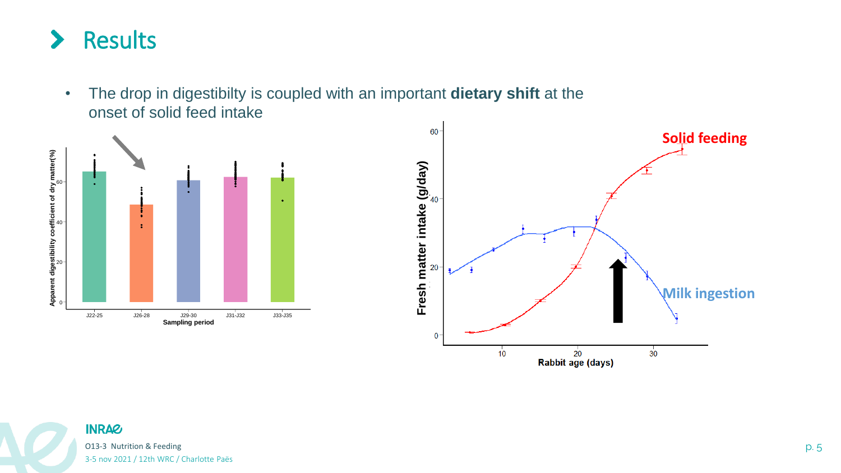

• The drop in digestibilty is coupled with an important **dietary shift** at the onset of solid feed intake